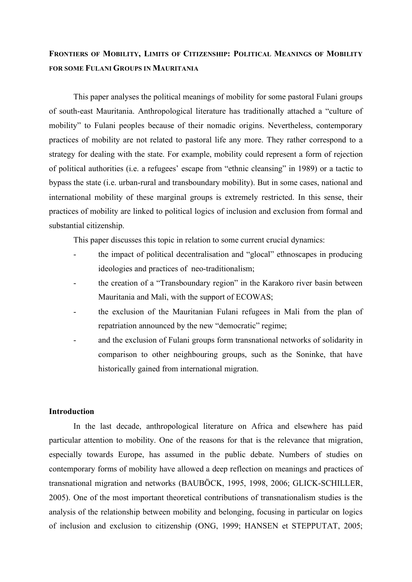## **FRONTIERS OF MOBILITY, LIMITS OF CITIZENSHIP: POLITICAL MEANINGS OF MOBILITY FOR SOME FULANI GROUPS IN MAURITANIA**

This paper analyses the political meanings of mobility for some pastoral Fulani groups of south-east Mauritania. Anthropological literature has traditionally attached a "culture of mobility" to Fulani peoples because of their nomadic origins. Nevertheless, contemporary practices of mobility are not related to pastoral life any more. They rather correspond to a strategy for dealing with the state. For example, mobility could represent a form of rejection of political authorities (i.e. a refugees' escape from "ethnic cleansing" in 1989) or a tactic to bypass the state (i.e. urban-rural and transboundary mobility). But in some cases, national and international mobility of these marginal groups is extremely restricted. In this sense, their practices of mobility are linked to political logics of inclusion and exclusion from formal and substantial citizenship.

This paper discusses this topic in relation to some current crucial dynamics:

- the impact of political decentralisation and "glocal" ethnoscapes in producing ideologies and practices of neo-traditionalism;
- the creation of a "Transboundary region" in the Karakoro river basin between Mauritania and Mali, with the support of ECOWAS;
- the exclusion of the Mauritanian Fulani refugees in Mali from the plan of repatriation announced by the new "democratic" regime;
- and the exclusion of Fulani groups form transnational networks of solidarity in comparison to other neighbouring groups, such as the Soninke, that have historically gained from international migration.

## **Introduction**

In the last decade, anthropological literature on Africa and elsewhere has paid particular attention to mobility. One of the reasons for that is the relevance that migration, especially towards Europe, has assumed in the public debate. Numbers of studies on contemporary forms of mobility have allowed a deep reflection on meanings and practices of transnational migration and networks (BAUBÖCK, 1995, 1998, 2006; GLICK-SCHILLER, 2005). One of the most important theoretical contributions of transnationalism studies is the analysis of the relationship between mobility and belonging, focusing in particular on logics of inclusion and exclusion to citizenship (ONG, 1999; HANSEN et STEPPUTAT, 2005;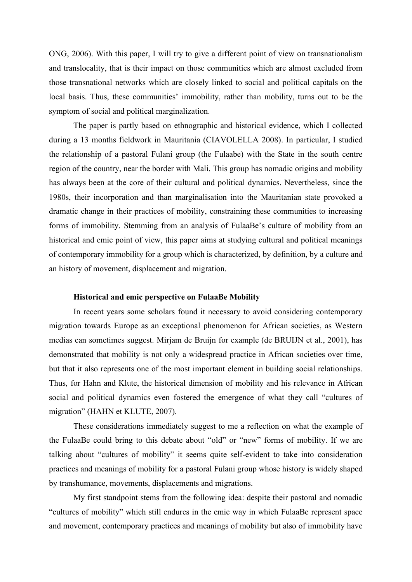ONG, 2006). With this paper, I will try to give a different point of view on transnationalism and translocality, that is their impact on those communities which are almost excluded from those transnational networks which are closely linked to social and political capitals on the local basis. Thus, these communities' immobility, rather than mobility, turns out to be the symptom of social and political marginalization.

The paper is partly based on ethnographic and historical evidence, which I collected during a 13 months fieldwork in Mauritania (CIAVOLELLA 2008). In particular, I studied the relationship of a pastoral Fulani group (the Fulaabe) with the State in the south centre region of the country, near the border with Mali. This group has nomadic origins and mobility has always been at the core of their cultural and political dynamics. Nevertheless, since the 1980s, their incorporation and than marginalisation into the Mauritanian state provoked a dramatic change in their practices of mobility, constraining these communities to increasing forms of immobility. Stemming from an analysis of FulaaBe's culture of mobility from an historical and emic point of view, this paper aims at studying cultural and political meanings of contemporary immobility for a group which is characterized, by definition, by a culture and an history of movement, displacement and migration.

## **Historical and emic perspective on FulaaBe Mobility**

In recent years some scholars found it necessary to avoid considering contemporary migration towards Europe as an exceptional phenomenon for African societies, as Western medias can sometimes suggest. Mirjam de Bruijn for example (de BRUIJN et al., 2001), has demonstrated that mobility is not only a widespread practice in African societies over time, but that it also represents one of the most important element in building social relationships. Thus, for Hahn and Klute, the historical dimension of mobility and his relevance in African social and political dynamics even fostered the emergence of what they call "cultures of migration" (HAHN et KLUTE, 2007).

These considerations immediately suggest to me a reflection on what the example of the FulaaBe could bring to this debate about "old" or "new" forms of mobility. If we are talking about "cultures of mobility" it seems quite self-evident to take into consideration practices and meanings of mobility for a pastoral Fulani group whose history is widely shaped by transhumance, movements, displacements and migrations.

My first standpoint stems from the following idea: despite their pastoral and nomadic "cultures of mobility" which still endures in the emic way in which FulaaBe represent space and movement, contemporary practices and meanings of mobility but also of immobility have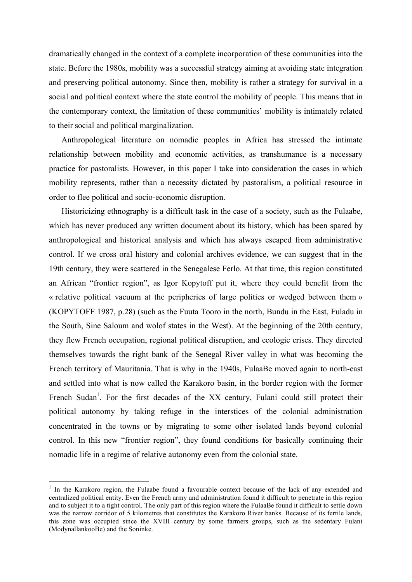dramatically changed in the context of a complete incorporation of these communities into the state. Before the 1980s, mobility was a successful strategy aiming at avoiding state integration and preserving political autonomy. Since then, mobility is rather a strategy for survival in a social and political context where the state control the mobility of people. This means that in the contemporary context, the limitation of these communities' mobility is intimately related to their social and political marginalization.

Anthropological literature on nomadic peoples in Africa has stressed the intimate relationship between mobility and economic activities, as transhumance is a necessary practice for pastoralists. However, in this paper I take into consideration the cases in which mobility represents, rather than a necessity dictated by pastoralism, a political resource in order to flee political and socio-economic disruption.

Historicizing ethnography is a difficult task in the case of a society, such as the Fulaabe, which has never produced any written document about its history, which has been spared by anthropological and historical analysis and which has always escaped from administrative control. If we cross oral history and colonial archives evidence, we can suggest that in the 19th century, they were scattered in the Senegalese Ferlo. At that time, this region constituted an African "frontier region", as Igor Kopytoff put it, where they could benefit from the « relative political vacuum at the peripheries of large polities or wedged between them » (KOPYTOFF 1987, p.28) (such as the Fuuta Tooro in the north, Bundu in the East, Fuladu in the South, Sine Saloum and wolof states in the West). At the beginning of the 20th century, they flew French occupation, regional political disruption, and ecologic crises. They directed themselves towards the right bank of the Senegal River valley in what was becoming the French territory of Mauritania. That is why in the 1940s, FulaaBe moved again to north-east and settled into what is now called the Karakoro basin, in the border region with the former French Sudan<sup>1</sup>. For the first decades of the XX century, Fulani could still protect their political autonomy by taking refuge in the interstices of the colonial administration concentrated in the towns or by migrating to some other isolated lands beyond colonial control. In this new "frontier region", they found conditions for basically continuing their nomadic life in a regime of relative autonomy even from the colonial state.

 $1$  In the Karakoro region, the Fulaabe found a favourable context because of the lack of any extended and centralized political entity. Even the French army and administration found it difficult to penetrate in this region and to subject it to a tight control. The only part of this region where the FulaaBe found it difficult to settle down was the narrow corridor of 5 kilometres that constitutes the Karakoro River banks. Because of its fertile lands, this zone was occupied since the XVIII century by some farmers groups, such as the sedentary Fulani (ModynallankooBe) and the Soninke.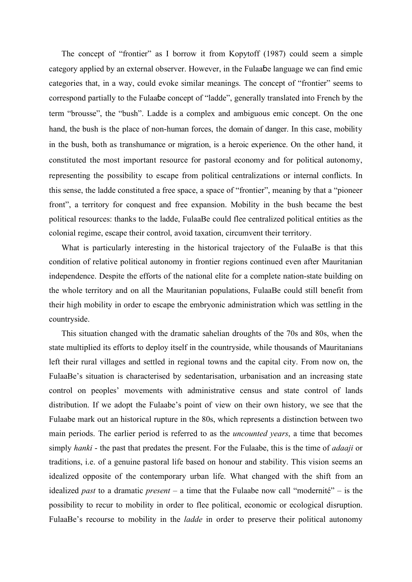The concept of "frontier" as I borrow it from Kopytoff (1987) could seem a simple category applied by an external observer. However, in the Fulaaɓe language we can find emic categories that, in a way, could evoke similar meanings. The concept of "frontier" seems to correspond partially to the Fulaaɓe concept of "ladde", generally translated into French by the term "brousse", the "bush". Ladde is a complex and ambiguous emic concept. On the one hand, the bush is the place of non-human forces, the domain of danger. In this case, mobility in the bush, both as transhumance or migration, is a heroic experience. On the other hand, it constituted the most important resource for pastoral economy and for political autonomy, representing the possibility to escape from political centralizations or internal conflicts. In this sense, the ladde constituted a free space, a space of "frontier", meaning by that a "pioneer front", a territory for conquest and free expansion. Mobility in the bush became the best political resources: thanks to the ladde, FulaaBe could flee centralized political entities as the colonial regime, escape their control, avoid taxation, circumvent their territory.

What is particularly interesting in the historical trajectory of the FulaaBe is that this condition of relative political autonomy in frontier regions continued even after Mauritanian independence. Despite the efforts of the national elite for a complete nation-state building on the whole territory and on all the Mauritanian populations, FulaaBe could still benefit from their high mobility in order to escape the embryonic administration which was settling in the countryside.

This situation changed with the dramatic sahelian droughts of the 70s and 80s, when the state multiplied its efforts to deploy itself in the countryside, while thousands of Mauritanians left their rural villages and settled in regional towns and the capital city. From now on, the FulaaBe's situation is characterised by sedentarisation, urbanisation and an increasing state control on peoples' movements with administrative census and state control of lands distribution. If we adopt the Fulaabe's point of view on their own history, we see that the Fulaabe mark out an historical rupture in the 80s, which represents a distinction between two main periods. The earlier period is referred to as the *uncounted years*, a time that becomes simply *hanki* - the past that predates the present. For the Fulaabe, this is the time of *adaaji* or traditions, i.e. of a genuine pastoral life based on honour and stability. This vision seems an idealized opposite of the contemporary urban life. What changed with the shift from an idealized *past* to a dramatic *present* – a time that the Fulaabe now call "modernité" – is the possibility to recur to mobility in order to flee political, economic or ecological disruption. FulaaBe's recourse to mobility in the *ladde* in order to preserve their political autonomy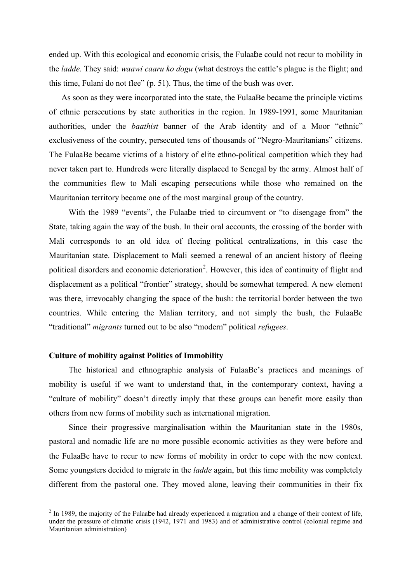ended up. With this ecological and economic crisis, the Fulaaɓe could not recur to mobility in the *ladde*. They said: *waawi caaru ko dogu* (what destroys the cattle's plague is the flight; and this time, Fulani do not flee" (p. 51). Thus, the time of the bush was over.

As soon as they were incorporated into the state, the FulaaBe became the principle victims of ethnic persecutions by state authorities in the region. In 1989-1991, some Mauritanian authorities, under the *baathist* banner of the Arab identity and of a Moor "ethnic" exclusiveness of the country, persecuted tens of thousands of "Negro-Mauritanians" citizens. The FulaaBe became victims of a history of elite ethno-political competition which they had never taken part to. Hundreds were literally displaced to Senegal by the army. Almost half of the communities flew to Mali escaping persecutions while those who remained on the Mauritanian territory became one of the most marginal group of the country.

With the 1989 "events", the Fulaaɓe tried to circumvent or "to disengage from" the State, taking again the way of the bush. In their oral accounts, the crossing of the border with Mali corresponds to an old idea of fleeing political centralizations, in this case the Mauritanian state. Displacement to Mali seemed a renewal of an ancient history of fleeing political disorders and economic deterioration<sup>2</sup>. However, this idea of continuity of flight and displacement as a political "frontier" strategy, should be somewhat tempered. A new element was there, irrevocably changing the space of the bush: the territorial border between the two countries. While entering the Malian territory, and not simply the bush, the FulaaBe "traditional" *migrants* turned out to be also "modern" political *refugees*.

## **Culture of mobility against Politics of Immobility**

The historical and ethnographic analysis of FulaaBe's practices and meanings of mobility is useful if we want to understand that, in the contemporary context, having a "culture of mobility" doesn't directly imply that these groups can benefit more easily than others from new forms of mobility such as international migration.

Since their progressive marginalisation within the Mauritanian state in the 1980s, pastoral and nomadic life are no more possible economic activities as they were before and the FulaaBe have to recur to new forms of mobility in order to cope with the new context. Some youngsters decided to migrate in the *ladde* again, but this time mobility was completely different from the pastoral one. They moved alone, leaving their communities in their fix

 $2 \text{ In } 1989$ , the majority of the Fulaabe had already experienced a migration and a change of their context of life, under the pressure of climatic crisis (1942, 1971 and 1983) and of administrative control (colonial regime and Mauritanian administration)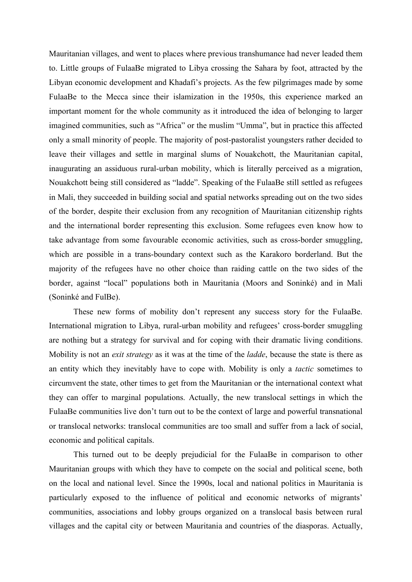Mauritanian villages, and went to places where previous transhumance had never leaded them to. Little groups of FulaaBe migrated to Libya crossing the Sahara by foot, attracted by the Libyan economic development and Khadafi's projects. As the few pilgrimages made by some FulaaBe to the Mecca since their islamization in the 1950s, this experience marked an important moment for the whole community as it introduced the idea of belonging to larger imagined communities, such as "Africa" or the muslim "Umma", but in practice this affected only a small minority of people. The majority of post-pastoralist youngsters rather decided to leave their villages and settle in marginal slums of Nouakchott, the Mauritanian capital, inaugurating an assiduous rural-urban mobility, which is literally perceived as a migration, Nouakchott being still considered as "ladde". Speaking of the FulaaBe still settled as refugees in Mali, they succeeded in building social and spatial networks spreading out on the two sides of the border, despite their exclusion from any recognition of Mauritanian citizenship rights and the international border representing this exclusion. Some refugees even know how to take advantage from some favourable economic activities, such as cross-border smuggling, which are possible in a trans-boundary context such as the Karakoro borderland. But the majority of the refugees have no other choice than raiding cattle on the two sides of the border, against "local" populations both in Mauritania (Moors and Soninké) and in Mali (Soninké and FulBe).

These new forms of mobility don't represent any success story for the FulaaBe. International migration to Libya, rural-urban mobility and refugees' cross-border smuggling are nothing but a strategy for survival and for coping with their dramatic living conditions. Mobility is not an *exit strategy* as it was at the time of the *ladde*, because the state is there as an entity which they inevitably have to cope with. Mobility is only a *tactic* sometimes to circumvent the state, other times to get from the Mauritanian or the international context what they can offer to marginal populations. Actually, the new translocal settings in which the FulaaBe communities live don't turn out to be the context of large and powerful transnational or translocal networks: translocal communities are too small and suffer from a lack of social, economic and political capitals.

This turned out to be deeply prejudicial for the FulaaBe in comparison to other Mauritanian groups with which they have to compete on the social and political scene, both on the local and national level. Since the 1990s, local and national politics in Mauritania is particularly exposed to the influence of political and economic networks of migrants' communities, associations and lobby groups organized on a translocal basis between rural villages and the capital city or between Mauritania and countries of the diasporas. Actually,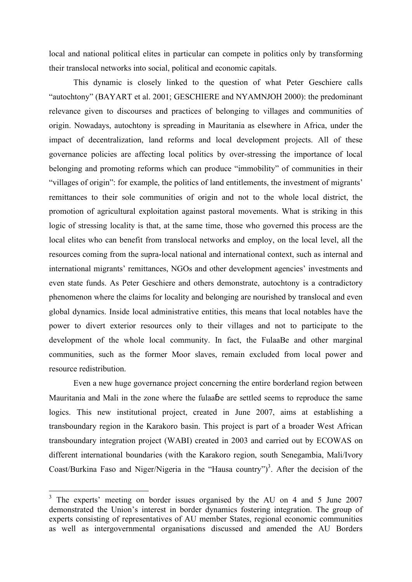local and national political elites in particular can compete in politics only by transforming their translocal networks into social, political and economic capitals.

This dynamic is closely linked to the question of what Peter Geschiere calls "autochtony" (BAYART et al. 2001; GESCHIERE and NYAMNJOH 2000): the predominant relevance given to discourses and practices of belonging to villages and communities of origin. Nowadays, autochtony is spreading in Mauritania as elsewhere in Africa, under the impact of decentralization, land reforms and local development projects. All of these governance policies are affecting local politics by over-stressing the importance of local belonging and promoting reforms which can produce "immobility" of communities in their "villages of origin": for example, the politics of land entitlements, the investment of migrants' remittances to their sole communities of origin and not to the whole local district, the promotion of agricultural exploitation against pastoral movements. What is striking in this logic of stressing locality is that, at the same time, those who governed this process are the local elites who can benefit from translocal networks and employ, on the local level, all the resources coming from the supra-local national and international context, such as internal and international migrants' remittances, NGOs and other development agencies' investments and even state funds. As Peter Geschiere and others demonstrate, autochtony is a contradictory phenomenon where the claims for locality and belonging are nourished by translocal and even global dynamics. Inside local administrative entities, this means that local notables have the power to divert exterior resources only to their villages and not to participate to the development of the whole local community. In fact, the FulaaBe and other marginal communities, such as the former Moor slaves, remain excluded from local power and resource redistribution.

Even a new huge governance project concerning the entire borderland region between Mauritania and Mali in the zone where the fulaaɓe are settled seems to reproduce the same logics. This new institutional project, created in June 2007, aims at establishing a transboundary region in the Karakoro basin. This project is part of a broader West African transboundary integration project (WABI) created in 2003 and carried out by ECOWAS on different international boundaries (with the Karakoro region, south Senegambia, Mali/Ivory Coast/Burkina Faso and Niger/Nigeria in the "Hausa country") 3 . After the decision of the

<sup>&</sup>lt;sup>3</sup> The experts' meeting on border issues organised by the AU on 4 and 5 June 2007 demonstrated the Union's interest in border dynamics fostering integration. The group of experts consisting of representatives of AU member States, regional economic communities as well as intergovernmental organisations discussed and amended the AU Borders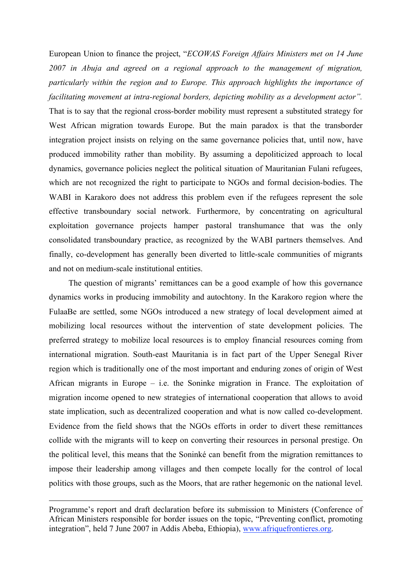European Union to finance the project, "*ECOWAS Foreign Affairs Ministers met on 14 June 2007 in Abuja and agreed on a regional approach to the management of migration, particularly within the region and to Europe. This approach highlights the importance of facilitating movement at intra-regional borders, depicting mobility as a development actor".* That is to say that the regional cross-border mobility must represent a substituted strategy for West African migration towards Europe. But the main paradox is that the transborder integration project insists on relying on the same governance policies that, until now, have produced immobility rather than mobility. By assuming a depoliticized approach to local dynamics, governance policies neglect the political situation of Mauritanian Fulani refugees, which are not recognized the right to participate to NGOs and formal decision-bodies. The WABI in Karakoro does not address this problem even if the refugees represent the sole effective transboundary social network. Furthermore, by concentrating on agricultural exploitation governance projects hamper pastoral transhumance that was the only consolidated transboundary practice, as recognized by the WABI partners themselves. And finally, co-development has generally been diverted to little-scale communities of migrants and not on medium-scale institutional entities.

The question of migrants' remittances can be a good example of how this governance dynamics works in producing immobility and autochtony. In the Karakoro region where the FulaaBe are settled, some NGOs introduced a new strategy of local development aimed at mobilizing local resources without the intervention of state development policies. The preferred strategy to mobilize local resources is to employ financial resources coming from international migration. South-east Mauritania is in fact part of the Upper Senegal River region which is traditionally one of the most important and enduring zones of origin of West African migrants in Europe – i.e. the Soninke migration in France. The exploitation of migration income opened to new strategies of international cooperation that allows to avoid state implication, such as decentralized cooperation and what is now called co-development. Evidence from the field shows that the NGOs efforts in order to divert these remittances collide with the migrants will to keep on converting their resources in personal prestige. On the political level, this means that the Soninké can benefit from the migration remittances to impose their leadership among villages and then compete locally for the control of local politics with those groups, such as the Moors, that are rather hegemonic on the national level.

1

Programme's report and draft declaration before its submission to Ministers (Conference of African Ministers responsible for border issues on the topic, "Preventing conflict, promoting integration", held 7 June 2007 in Addis Abeba, Ethiopia), www.afriquefrontieres.org.